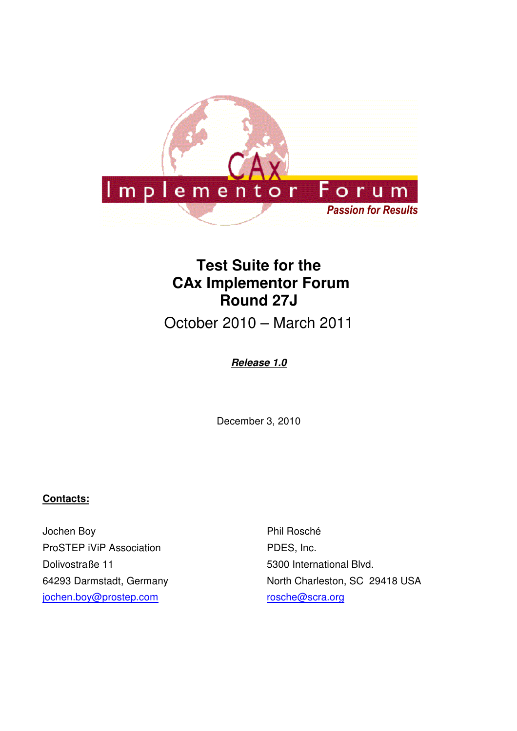

# **Test Suite for the CAx Implementor Forum Round 27J**

October 2010 – March 2011

## **Release 1.0**

December 3, 2010

#### **Contacts:**

Jochen Boy ProSTEP iViP Association Dolivostraße 11 64293 Darmstadt, Germany jochen.boy@prostep.com

Phil Rosché PDES, Inc. 5300 International Blvd. North Charleston, SC 29418 USA rosche@scra.org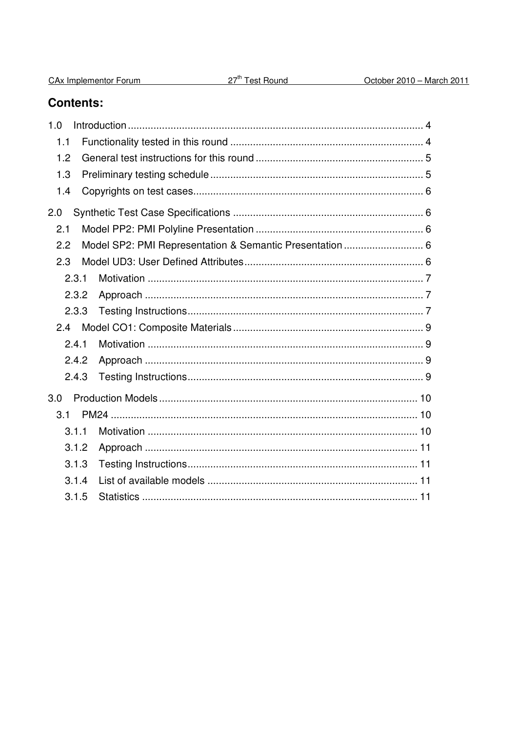|  |  |  | CA <sub>x</sub> Implementor Forum |  |
|--|--|--|-----------------------------------|--|
|--|--|--|-----------------------------------|--|

## **Contents:**

| 1.0   |                                                         |  |
|-------|---------------------------------------------------------|--|
| 1.1   |                                                         |  |
| 1.2   |                                                         |  |
| 1.3   |                                                         |  |
| 1.4   |                                                         |  |
| 2.0   |                                                         |  |
| 2.1   |                                                         |  |
| 2.2   | Model SP2: PMI Representation & Semantic Presentation 6 |  |
| 2.3   |                                                         |  |
| 2.3.1 |                                                         |  |
| 2.3.2 |                                                         |  |
| 2.3.3 |                                                         |  |
| 2.4   |                                                         |  |
| 2.4.1 |                                                         |  |
| 2.4.2 |                                                         |  |
| 2.4.3 |                                                         |  |
| 3.0   |                                                         |  |
| 3.1   |                                                         |  |
| 3.1.1 |                                                         |  |
| 3.1.2 |                                                         |  |
| 3.1.3 |                                                         |  |
| 3.1.4 |                                                         |  |
| 3.1.5 |                                                         |  |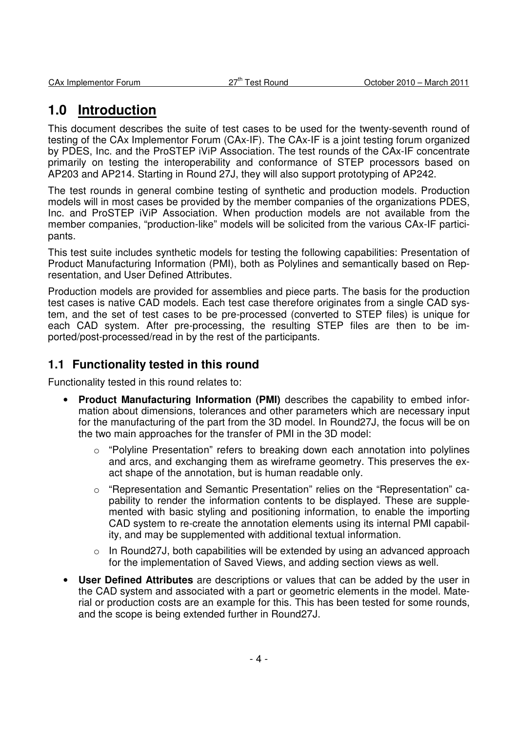## **1.0 Introduction**

This document describes the suite of test cases to be used for the twenty-seventh round of testing of the CAx Implementor Forum (CAx-IF). The CAx-IF is a joint testing forum organized by PDES, Inc. and the ProSTEP iViP Association. The test rounds of the CAx-IF concentrate primarily on testing the interoperability and conformance of STEP processors based on AP203 and AP214. Starting in Round 27J, they will also support prototyping of AP242.

The test rounds in general combine testing of synthetic and production models. Production models will in most cases be provided by the member companies of the organizations PDES, Inc. and ProSTEP iViP Association. When production models are not available from the member companies, "production-like" models will be solicited from the various CAx-IF participants.

This test suite includes synthetic models for testing the following capabilities: Presentation of Product Manufacturing Information (PMI), both as Polylines and semantically based on Representation, and User Defined Attributes.

Production models are provided for assemblies and piece parts. The basis for the production test cases is native CAD models. Each test case therefore originates from a single CAD system, and the set of test cases to be pre-processed (converted to STEP files) is unique for each CAD system. After pre-processing, the resulting STEP files are then to be imported/post-processed/read in by the rest of the participants.

## **1.1 Functionality tested in this round**

Functionality tested in this round relates to:

- **Product Manufacturing Information (PMI)** describes the capability to embed information about dimensions, tolerances and other parameters which are necessary input for the manufacturing of the part from the 3D model. In Round27J, the focus will be on the two main approaches for the transfer of PMI in the 3D model:
	- $\circ$  "Polyline Presentation" refers to breaking down each annotation into polylines and arcs, and exchanging them as wireframe geometry. This preserves the exact shape of the annotation, but is human readable only.
	- o "Representation and Semantic Presentation" relies on the "Representation" capability to render the information contents to be displayed. These are supplemented with basic styling and positioning information, to enable the importing CAD system to re-create the annotation elements using its internal PMI capability, and may be supplemented with additional textual information.
	- $\circ$  In Round27J, both capabilities will be extended by using an advanced approach for the implementation of Saved Views, and adding section views as well.
- **User Defined Attributes** are descriptions or values that can be added by the user in the CAD system and associated with a part or geometric elements in the model. Material or production costs are an example for this. This has been tested for some rounds, and the scope is being extended further in Round27J.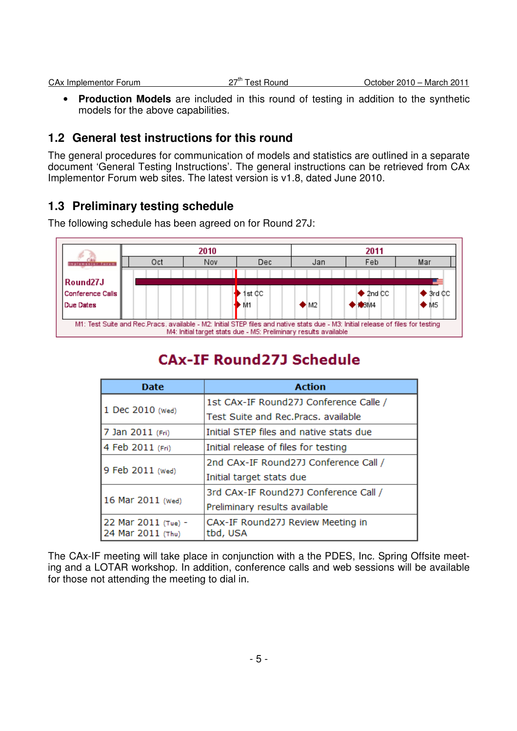| <b>CAx Implementor Forum</b> | 27 <sup>th</sup> Test Ro<br>Test Round | October $2010 -$<br>– March 2011 |
|------------------------------|----------------------------------------|----------------------------------|
|                              |                                        |                                  |

• **Production Models** are included in this round of testing in addition to the synthetic models for the above capabilities.

## **1.2 General test instructions for this round**

The general procedures for communication of models and statistics are outlined in a separate document 'General Testing Instructions'. The general instructions can be retrieved from CAx Implementor Forum web sites. The latest version is v1.8, dated June 2010.

## **1.3 Preliminary testing schedule**

The following schedule has been agreed on for Round 27J:



# **CAx-IF Round 27J Schedule**

| <b>Action</b><br><b>Date</b>             |                                               |
|------------------------------------------|-----------------------------------------------|
|                                          | 1st CAx-IF Round27J Conference Calle /        |
| 1 Dec 2010 (Wed)                         | Test Suite and Rec.Pracs, available           |
| 7 Jan 2011 (Fri)                         | Initial STEP files and native stats due       |
| 4 Feb 2011 (Fri)                         | Initial release of files for testing          |
| 9 Feb 2011 (Wed)                         | 2nd CAx-IF Round27J Conference Call /         |
|                                          | Initial target stats due                      |
| 16 Mar 2011 (Wed)                        | 3rd CAx-IF Round27J Conference Call /         |
|                                          | Preliminary results available                 |
| 22 Mar 2011 (Tue) -<br>24 Mar 2011 (Thu) | CAx-IF Round27J Review Meeting in<br>tbd, USA |

The CAx-IF meeting will take place in conjunction with a the PDES, Inc. Spring Offsite meeting and a LOTAR workshop. In addition, conference calls and web sessions will be available for those not attending the meeting to dial in.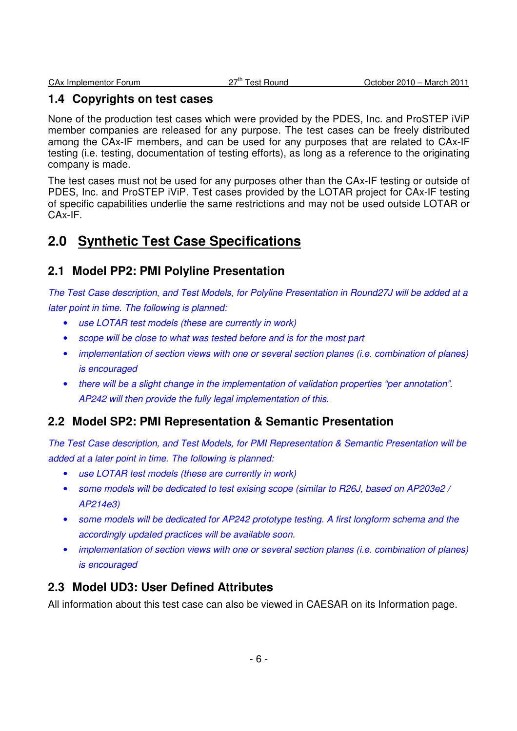## **1.4 Copyrights on test cases**

None of the production test cases which were provided by the PDES, Inc. and ProSTEP iViP member companies are released for any purpose. The test cases can be freely distributed among the CAx-IF members, and can be used for any purposes that are related to CAx-IF testing (i.e. testing, documentation of testing efforts), as long as a reference to the originating company is made.

The test cases must not be used for any purposes other than the CAx-IF testing or outside of PDES, Inc. and ProSTEP iViP. Test cases provided by the LOTAR project for CAx-IF testing of specific capabilities underlie the same restrictions and may not be used outside LOTAR or CAx-IF.

## **2.0 Synthetic Test Case Specifications**

## **2.1 Model PP2: PMI Polyline Presentation**

The Test Case description, and Test Models, for Polyline Presentation in Round27J will be added at a later point in time. The following is planned:

- use LOTAR test models (these are currently in work)
- scope will be close to what was tested before and is for the most part
- implementation of section views with one or several section planes (i.e. combination of planes) is encouraged
- there will be a slight change in the implementation of validation properties "per annotation". AP242 will then provide the fully legal implementation of this.

## **2.2 Model SP2: PMI Representation & Semantic Presentation**

The Test Case description, and Test Models, for PMI Representation & Semantic Presentation will be added at a later point in time. The following is planned:

- use LOTAR test models (these are currently in work)
- some models will be dedicated to test exising scope (similar to R26J, based on AP203e2 / AP214e3)
- some models will be dedicated for AP242 prototype testing. A first longform schema and the accordingly updated practices will be available soon.
- implementation of section views with one or several section planes (i.e. combination of planes) is encouraged

## **2.3 Model UD3: User Defined Attributes**

All information about this test case can also be viewed in CAESAR on its Information page.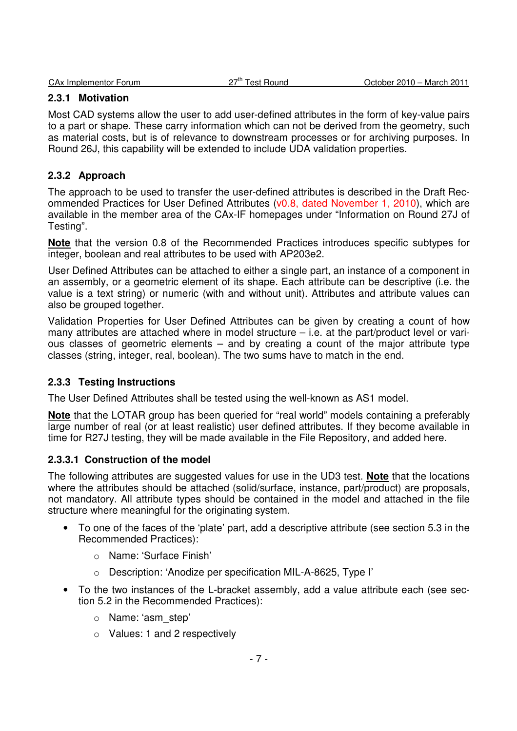| CAx Implementor Forum | ת ™−י<br><b>Test Round</b> | October 2010 -<br>March 201 |
|-----------------------|----------------------------|-----------------------------|
|                       |                            |                             |

### **2.3.1 Motivation**

Most CAD systems allow the user to add user-defined attributes in the form of key-value pairs to a part or shape. These carry information which can not be derived from the geometry, such as material costs, but is of relevance to downstream processes or for archiving purposes. In Round 26J, this capability will be extended to include UDA validation properties.

### **2.3.2 Approach**

The approach to be used to transfer the user-defined attributes is described in the Draft Recommended Practices for User Defined Attributes (v0.8, dated November 1, 2010), which are available in the member area of the CAx-IF homepages under "Information on Round 27J of Testing".

**Note** that the version 0.8 of the Recommended Practices introduces specific subtypes for integer, boolean and real attributes to be used with AP203e2.

User Defined Attributes can be attached to either a single part, an instance of a component in an assembly, or a geometric element of its shape. Each attribute can be descriptive (i.e. the value is a text string) or numeric (with and without unit). Attributes and attribute values can also be grouped together.

Validation Properties for User Defined Attributes can be given by creating a count of how many attributes are attached where in model structure – i.e. at the part/product level or various classes of geometric elements – and by creating a count of the major attribute type classes (string, integer, real, boolean). The two sums have to match in the end.

#### **2.3.3 Testing Instructions**

The User Defined Attributes shall be tested using the well-known as AS1 model.

**Note** that the LOTAR group has been queried for "real world" models containing a preferably large number of real (or at least realistic) user defined attributes. If they become available in time for R27J testing, they will be made available in the File Repository, and added here.

#### **2.3.3.1 Construction of the model**

The following attributes are suggested values for use in the UD3 test. **Note** that the locations where the attributes should be attached (solid/surface, instance, part/product) are proposals, not mandatory. All attribute types should be contained in the model and attached in the file structure where meaningful for the originating system.

- To one of the faces of the 'plate' part, add a descriptive attribute (see section 5.3 in the Recommended Practices):
	- o Name: 'Surface Finish'
	- o Description: 'Anodize per specification MIL-A-8625, Type I'
- To the two instances of the L-bracket assembly, add a value attribute each (see section 5.2 in the Recommended Practices):
	- o Name: 'asm\_step'
	- o Values: 1 and 2 respectively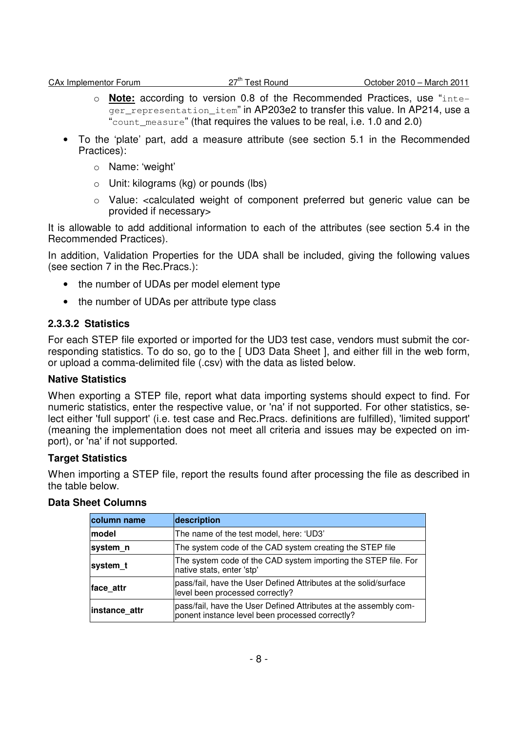- o **Note:** according to version 0.8 of the Recommended Practices, use "inte- $\overline{q_{\text{er}}\,r_{\text{ex}}$  representation item" in AP203e2 to transfer this value. In AP214, use a "count measure" (that requires the values to be real, i.e. 1.0 and 2.0)
- To the 'plate' part, add a measure attribute (see section 5.1 in the Recommended Practices):
	- o Name: 'weight'
	- o Unit: kilograms (kg) or pounds (lbs)
	- o Value: <calculated weight of component preferred but generic value can be provided if necessary>

It is allowable to add additional information to each of the attributes (see section 5.4 in the Recommended Practices).

In addition, Validation Properties for the UDA shall be included, giving the following values (see section 7 in the Rec.Pracs.):

- the number of UDAs per model element type
- the number of UDAs per attribute type class

#### **2.3.3.2 Statistics**

For each STEP file exported or imported for the UD3 test case, vendors must submit the corresponding statistics. To do so, go to the [ UD3 Data Sheet ], and either fill in the web form, or upload a comma-delimited file (.csv) with the data as listed below.

#### **Native Statistics**

When exporting a STEP file, report what data importing systems should expect to find. For numeric statistics, enter the respective value, or 'na' if not supported. For other statistics, select either 'full support' (i.e. test case and Rec.Pracs. definitions are fulfilled), 'limited support' (meaning the implementation does not meet all criteria and issues may be expected on import), or 'na' if not supported.

#### **Target Statistics**

When importing a STEP file, report the results found after processing the file as described in the table below.

#### **Data Sheet Columns**

| column name   | description                                                                                                         |  |  |
|---------------|---------------------------------------------------------------------------------------------------------------------|--|--|
| lmodel        | The name of the test model, here: 'UD3'                                                                             |  |  |
| system n      | The system code of the CAD system creating the STEP file                                                            |  |  |
| system t      | The system code of the CAD system importing the STEP file. For<br>native stats, enter 'stp'                         |  |  |
| face attr     | pass/fail, have the User Defined Attributes at the solid/surface<br>level been processed correctly?                 |  |  |
| instance_attr | pass/fail, have the User Defined Attributes at the assembly com-<br>ponent instance level been processed correctly? |  |  |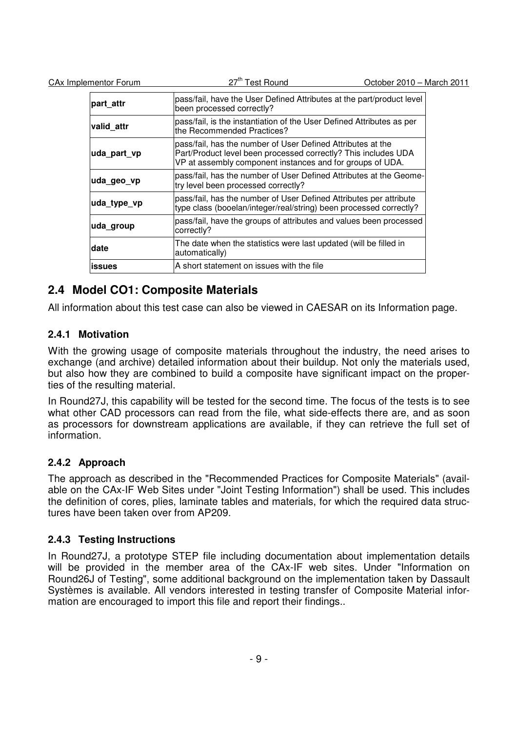| part attr     | pass/fail, have the User Defined Attributes at the part/product level<br>been processed correctly?                                                                                         |  |  |
|---------------|--------------------------------------------------------------------------------------------------------------------------------------------------------------------------------------------|--|--|
| valid attr    | pass/fail, is the instantiation of the User Defined Attributes as per<br>the Recommended Practices?                                                                                        |  |  |
| uda part vp   | pass/fail, has the number of User Defined Attributes at the<br>Part/Product level been processed correctly? This includes UDA<br>VP at assembly component instances and for groups of UDA. |  |  |
| uda geo vp    | pass/fail, has the number of User Defined Attributes at the Geome-<br>try level been processed correctly?                                                                                  |  |  |
| uda_type_vp   | pass/fail, has the number of User Defined Attributes per attribute<br>type class (booelan/integer/real/string) been processed correctly?                                                   |  |  |
| ∣uda_group    | pass/fail, have the groups of attributes and values been processed<br>correctly?                                                                                                           |  |  |
| date          | The date when the statistics were last updated (will be filled in<br>automatically)                                                                                                        |  |  |
| <b>issues</b> | A short statement on issues with the file                                                                                                                                                  |  |  |

## **2.4 Model CO1: Composite Materials**

CAx Implementor Forum 27<sup>th</sup> Test Round

All information about this test case can also be viewed in CAESAR on its Information page.

#### **2.4.1 Motivation**

With the growing usage of composite materials throughout the industry, the need arises to exchange (and archive) detailed information about their buildup. Not only the materials used, but also how they are combined to build a composite have significant impact on the properties of the resulting material.

In Round27J, this capability will be tested for the second time. The focus of the tests is to see what other CAD processors can read from the file, what side-effects there are, and as soon as processors for downstream applications are available, if they can retrieve the full set of information.

#### **2.4.2 Approach**

The approach as described in the "Recommended Practices for Composite Materials" (available on the CAx-IF Web Sites under "Joint Testing Information") shall be used. This includes the definition of cores, plies, laminate tables and materials, for which the required data structures have been taken over from AP209.

#### **2.4.3 Testing Instructions**

In Round27J, a prototype STEP file including documentation about implementation details will be provided in the member area of the CAx-IF web sites. Under "Information on Round26J of Testing", some additional background on the implementation taken by Dassault Systèmes is available. All vendors interested in testing transfer of Composite Material information are encouraged to import this file and report their findings..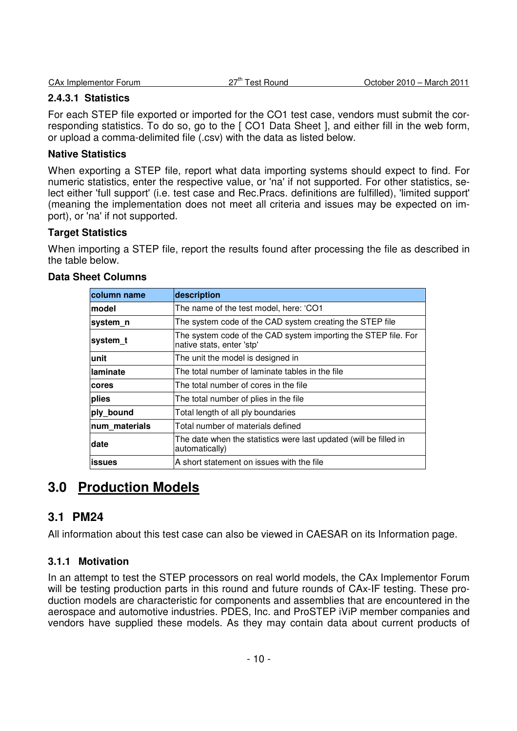| <b>CAx Implementor Forum</b> | ⇒−th<br>Round<br>+ء⊿ ،<br>uJ | March 201<br>$2010 -$<br>October |
|------------------------------|------------------------------|----------------------------------|
|                              |                              |                                  |

### **2.4.3.1 Statistics**

For each STEP file exported or imported for the CO1 test case, vendors must submit the corresponding statistics. To do so, go to the [ CO1 Data Sheet ], and either fill in the web form, or upload a comma-delimited file (.csv) with the data as listed below.

#### **Native Statistics**

When exporting a STEP file, report what data importing systems should expect to find. For numeric statistics, enter the respective value, or 'na' if not supported. For other statistics, select either 'full support' (i.e. test case and Rec.Pracs. definitions are fulfilled), 'limited support' (meaning the implementation does not meet all criteria and issues may be expected on import), or 'na' if not supported.

#### **Target Statistics**

When importing a STEP file, report the results found after processing the file as described in the table below.

| column name   | description                                                                                 |  |  |
|---------------|---------------------------------------------------------------------------------------------|--|--|
| model         | The name of the test model, here: 'CO1                                                      |  |  |
| system n      | The system code of the CAD system creating the STEP file                                    |  |  |
| system t      | The system code of the CAD system importing the STEP file. For<br>native stats, enter 'stp' |  |  |
| unit          | The unit the model is designed in                                                           |  |  |
| laminate      | The total number of laminate tables in the file                                             |  |  |
| cores         | The total number of cores in the file                                                       |  |  |
| plies         | The total number of plies in the file                                                       |  |  |
| ply bound     | Total length of all ply boundaries                                                          |  |  |
| num materials | Total number of materials defined                                                           |  |  |
| date          | The date when the statistics were last updated (will be filled in<br>automatically)         |  |  |
| <b>issues</b> | A short statement on issues with the file                                                   |  |  |

#### **Data Sheet Columns**

## **3.0 Production Models**

## **3.1 PM24**

All information about this test case can also be viewed in CAESAR on its Information page.

#### **3.1.1 Motivation**

In an attempt to test the STEP processors on real world models, the CAx Implementor Forum will be testing production parts in this round and future rounds of CAx-IF testing. These production models are characteristic for components and assemblies that are encountered in the aerospace and automotive industries. PDES, Inc. and ProSTEP iViP member companies and vendors have supplied these models. As they may contain data about current products of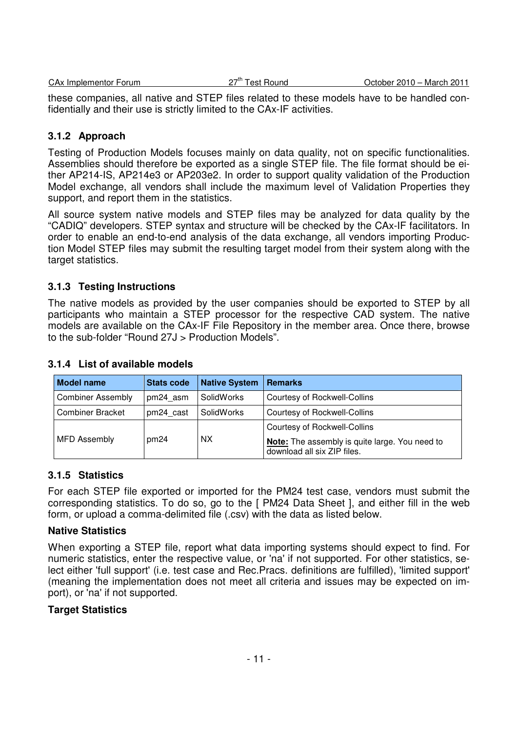| <b>CAx Implementor Forum</b> | ⊤ ייד ∩<br>Test Round<br>27 | October 2010 - March 2011 |
|------------------------------|-----------------------------|---------------------------|
|                              |                             |                           |

these companies, all native and STEP files related to these models have to be handled confidentially and their use is strictly limited to the CAx-IF activities.

## **3.1.2 Approach**

Testing of Production Models focuses mainly on data quality, not on specific functionalities. Assemblies should therefore be exported as a single STEP file. The file format should be either AP214-IS, AP214e3 or AP203e2. In order to support quality validation of the Production Model exchange, all vendors shall include the maximum level of Validation Properties they support, and report them in the statistics.

All source system native models and STEP files may be analyzed for data quality by the "CADIQ" developers. STEP syntax and structure will be checked by the CAx-IF facilitators. In order to enable an end-to-end analysis of the data exchange, all vendors importing Production Model STEP files may submit the resulting target model from their system along with the target statistics.

## **3.1.3 Testing Instructions**

The native models as provided by the user companies should be exported to STEP by all participants who maintain a STEP processor for the respective CAD system. The native models are available on the CAx-IF File Repository in the member area. Once there, browse to the sub-folder "Round 27J > Production Models".

| <b>Model name</b>        | <b>Stats code</b> | <b>Native System</b> | <b>Remarks</b>                                                                       |
|--------------------------|-------------------|----------------------|--------------------------------------------------------------------------------------|
| <b>Combiner Assembly</b> | pm24 asm          | SolidWorks           | Courtesy of Rockwell-Collins                                                         |
| <b>Combiner Bracket</b>  | pm24 cast         | SolidWorks           | Courtesy of Rockwell-Collins                                                         |
| <b>MFD Assembly</b>      | pm24              | <b>NX</b>            | <b>Courtesy of Rockwell-Collins</b>                                                  |
|                          |                   |                      | <b>Note:</b> The assembly is quite large. You need to<br>download all six ZIP files. |

### **3.1.4 List of available models**

## **3.1.5 Statistics**

For each STEP file exported or imported for the PM24 test case, vendors must submit the corresponding statistics. To do so, go to the [ PM24 Data Sheet ], and either fill in the web form, or upload a comma-delimited file (.csv) with the data as listed below.

## **Native Statistics**

When exporting a STEP file, report what data importing systems should expect to find. For numeric statistics, enter the respective value, or 'na' if not supported. For other statistics, select either 'full support' (i.e. test case and Rec.Pracs. definitions are fulfilled), 'limited support' (meaning the implementation does not meet all criteria and issues may be expected on import), or 'na' if not supported.

#### **Target Statistics**